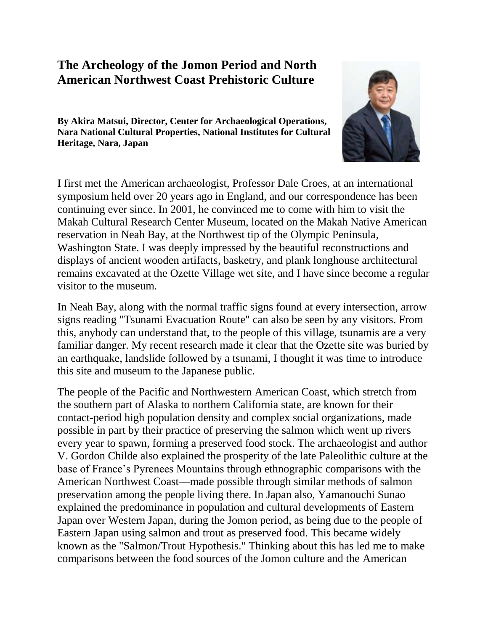# **The Archeology of the Jomon Period and North American Northwest Coast Prehistoric Culture**

**By Akira Matsui, Director, Center for Archaeological Operations, Nara National Cultural Properties, National Institutes for Cultural Heritage, Nara, Japan**



I first met the American archaeologist, Professor Dale Croes, at an international symposium held over 20 years ago in England, and our correspondence has been continuing ever since. In 2001, he convinced me to come with him to visit the Makah Cultural Research Center Museum, located on the Makah Native American reservation in Neah Bay, at the Northwest tip of the Olympic Peninsula, Washington State. I was deeply impressed by the beautiful reconstructions and displays of ancient wooden artifacts, basketry, and plank longhouse architectural remains excavated at the Ozette Village wet site, and I have since become a regular visitor to the museum.

In Neah Bay, along with the normal traffic signs found at every intersection, arrow signs reading "Tsunami Evacuation Route" can also be seen by any visitors. From this, anybody can understand that, to the people of this village, tsunamis are a very familiar danger. My recent research made it clear that the Ozette site was buried by an earthquake, landslide followed by a tsunami, I thought it was time to introduce this site and museum to the Japanese public.

The people of the Pacific and Northwestern American Coast, which stretch from the southern part of Alaska to northern California state, are known for their contact-period high population density and complex social organizations, made possible in part by their practice of preserving the salmon which went up rivers every year to spawn, forming a preserved food stock. The archaeologist and author V. Gordon Childe also explained the prosperity of the late Paleolithic culture at the base of France's Pyrenees Mountains through ethnographic comparisons with the American Northwest Coast—made possible through similar methods of salmon preservation among the people living there. In Japan also, Yamanouchi Sunao explained the predominance in population and cultural developments of Eastern Japan over Western Japan, during the Jomon period, as being due to the people of Eastern Japan using salmon and trout as preserved food. This became widely known as the "Salmon/Trout Hypothesis." Thinking about this has led me to make comparisons between the food sources of the Jomon culture and the American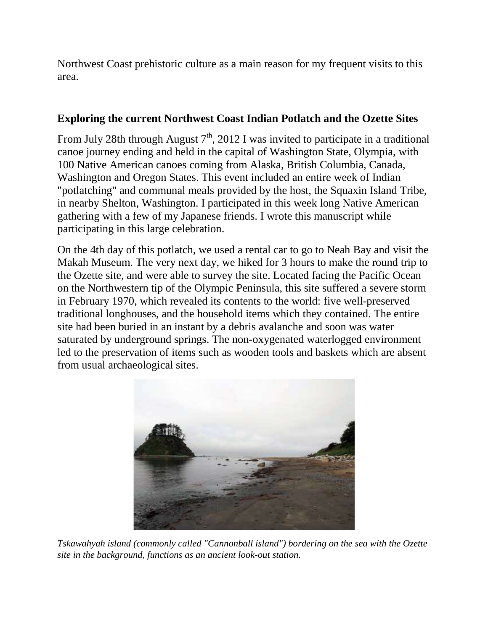Northwest Coast prehistoric culture as a main reason for my frequent visits to this area.

#### **Exploring the current Northwest Coast Indian Potlatch and the Ozette Sites**

From July 28th through August  $7<sup>th</sup>$ , 2012 I was invited to participate in a traditional canoe journey ending and held in the capital of Washington State, Olympia, with 100 Native American canoes coming from Alaska, British Columbia, Canada, Washington and Oregon States. This event included an entire week of Indian "potlatching" and communal meals provided by the host, the Squaxin Island Tribe, in nearby Shelton, Washington. I participated in this week long Native American gathering with a few of my Japanese friends. I wrote this manuscript while participating in this large celebration.

On the 4th day of this potlatch, we used a rental car to go to Neah Bay and visit the Makah Museum. The very next day, we hiked for 3 hours to make the round trip to the Ozette site, and were able to survey the site. Located facing the Pacific Ocean on the Northwestern tip of the Olympic Peninsula, this site suffered a severe storm in February 1970, which revealed its contents to the world: five well-preserved traditional longhouses, and the household items which they contained. The entire site had been buried in an instant by a debris avalanche and soon was water saturated by underground springs. The non-oxygenated waterlogged environment led to the preservation of items such as wooden tools and baskets which are absent from usual archaeological sites.



*Tskawahyah island (commonly called "Cannonball island") bordering on the sea with the Ozette site in the background, functions as an ancient look-out station.*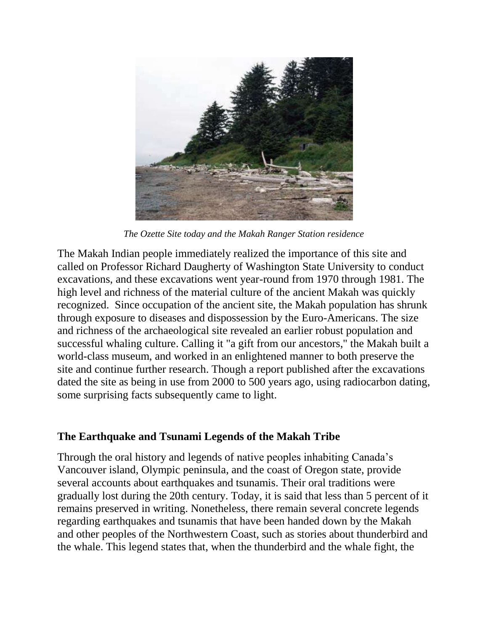

*The Ozette Site today and the Makah Ranger Station residence*

The Makah Indian people immediately realized the importance of this site and called on Professor Richard Daugherty of Washington State University to conduct excavations, and these excavations went year-round from 1970 through 1981. The high level and richness of the material culture of the ancient Makah was quickly recognized. Since occupation of the ancient site, the Makah population has shrunk through exposure to diseases and dispossession by the Euro-Americans. The size and richness of the archaeological site revealed an earlier robust population and successful whaling culture. Calling it "a gift from our ancestors," the Makah built a world-class museum, and worked in an enlightened manner to both preserve the site and continue further research. Though a report published after the excavations dated the site as being in use from 2000 to 500 years ago, using radiocarbon dating, some surprising facts subsequently came to light.

### **The Earthquake and Tsunami Legends of the Makah Tribe**

Through the oral history and legends of native peoples inhabiting Canada's Vancouver island, Olympic peninsula, and the coast of Oregon state, provide several accounts about earthquakes and tsunamis. Their oral traditions were gradually lost during the 20th century. Today, it is said that less than 5 percent of it remains preserved in writing. Nonetheless, there remain several concrete legends regarding earthquakes and tsunamis that have been handed down by the Makah and other peoples of the Northwestern Coast, such as stories about thunderbird and the whale. This legend states that, when the thunderbird and the whale fight, the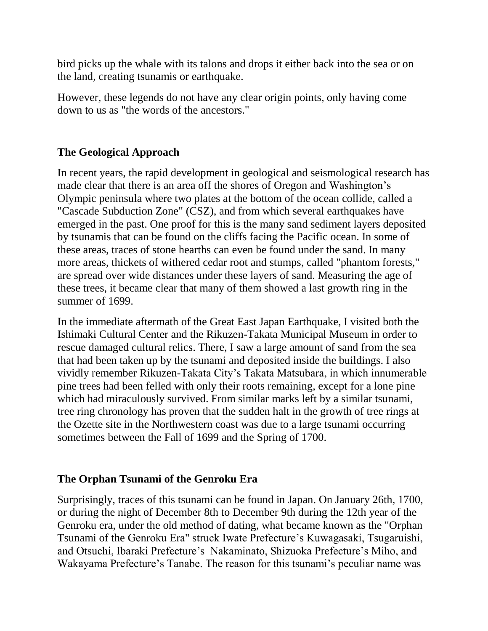bird picks up the whale with its talons and drops it either back into the sea or on the land, creating tsunamis or earthquake.

However, these legends do not have any clear origin points, only having come down to us as "the words of the ancestors."

## **The Geological Approach**

In recent years, the rapid development in geological and seismological research has made clear that there is an area off the shores of Oregon and Washington's Olympic peninsula where two plates at the bottom of the ocean collide, called a "Cascade Subduction Zone" (CSZ), and from which several earthquakes have emerged in the past. One proof for this is the many sand sediment layers deposited by tsunamis that can be found on the cliffs facing the Pacific ocean. In some of these areas, traces of stone hearths can even be found under the sand. In many more areas, thickets of withered cedar root and stumps, called "phantom forests," are spread over wide distances under these layers of sand. Measuring the age of these trees, it became clear that many of them showed a last growth ring in the summer of 1699.

In the immediate aftermath of the Great East Japan Earthquake, I visited both the Ishimaki Cultural Center and the Rikuzen-Takata Municipal Museum in order to rescue damaged cultural relics. There, I saw a large amount of sand from the sea that had been taken up by the tsunami and deposited inside the buildings. I also vividly remember Rikuzen-Takata City's Takata Matsubara, in which innumerable pine trees had been felled with only their roots remaining, except for a lone pine which had miraculously survived. From similar marks left by a similar tsunami, tree ring chronology has proven that the sudden halt in the growth of tree rings at the Ozette site in the Northwestern coast was due to a large tsunami occurring sometimes between the Fall of 1699 and the Spring of 1700.

## **The Orphan Tsunami of the Genroku Era**

Surprisingly, traces of this tsunami can be found in Japan. On January 26th, 1700, or during the night of December 8th to December 9th during the 12th year of the Genroku era, under the old method of dating, what became known as the "Orphan Tsunami of the Genroku Era" struck Iwate Prefecture's Kuwagasaki, Tsugaruishi, and Otsuchi, Ibaraki Prefecture's Nakaminato, Shizuoka Prefecture's Miho, and Wakayama Prefecture's Tanabe. The reason for this tsunami's peculiar name was